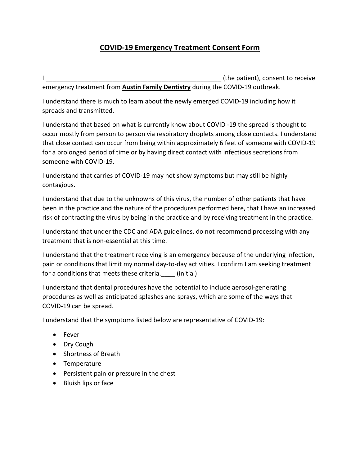## **COVID-19 Emergency Treatment Consent Form**

I all the patient), consent to receive emergency treatment from **Austin Family Dentistry** during the COVID-19 outbreak.

I understand there is much to learn about the newly emerged COVID-19 including how it spreads and transmitted.

I understand that based on what is currently know about COVID -19 the spread is thought to occur mostly from person to person via respiratory droplets among close contacts. I understand that close contact can occur from being within approximately 6 feet of someone with COVID-19 for a prolonged period of time or by having direct contact with infectious secretions from someone with COVID-19.

I understand that carries of COVID-19 may not show symptoms but may still be highly contagious.

I understand that due to the unknowns of this virus, the number of other patients that have been in the practice and the nature of the procedures performed here, that I have an increased risk of contracting the virus by being in the practice and by receiving treatment in the practice.

I understand that under the CDC and ADA guidelines, do not recommend processing with any treatment that is non-essential at this time.

I understand that the treatment receiving is an emergency because of the underlying infection, pain or conditions that limit my normal day-to-day activities. I confirm I am seeking treatment for a conditions that meets these criteria. (initial)

I understand that dental procedures have the potential to include aerosol-generating procedures as well as anticipated splashes and sprays, which are some of the ways that COVID-19 can be spread.

I understand that the symptoms listed below are representative of COVID-19:

- Fever
- Dry Cough
- Shortness of Breath
- Temperature
- Persistent pain or pressure in the chest
- Bluish lips or face